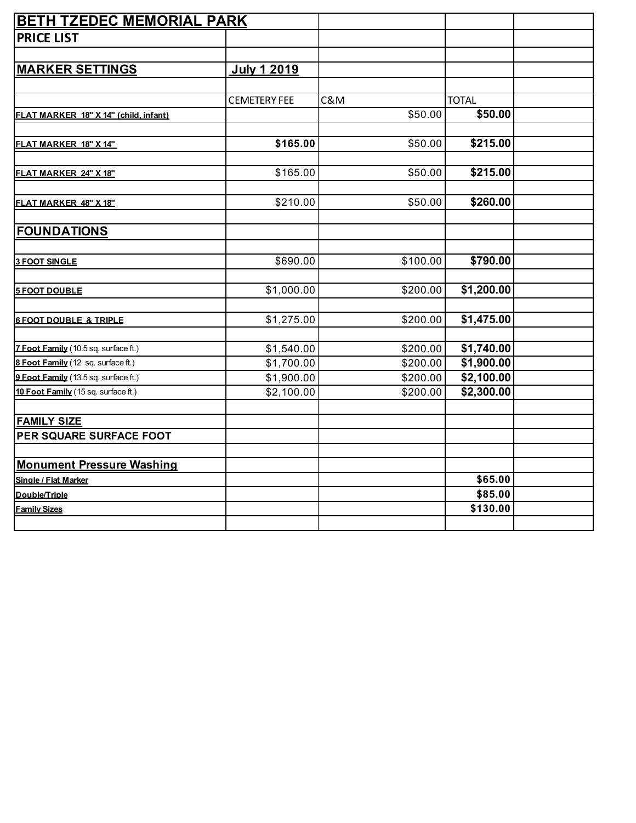| <b>BETH TZEDEC MEMORIAL PARK</b>      |                     |          |              |  |
|---------------------------------------|---------------------|----------|--------------|--|
| <b>PRICE LIST</b>                     |                     |          |              |  |
|                                       |                     |          |              |  |
| <b>MARKER SETTINGS</b>                | <b>July 1 2019</b>  |          |              |  |
|                                       |                     |          |              |  |
|                                       | <b>CEMETERY FEE</b> | C&M      | <b>TOTAL</b> |  |
| FLAT MARKER 18" X 14" (child, infant) |                     | \$50.00  | \$50.00      |  |
|                                       |                     |          |              |  |
| FLAT MARKER 18" X 14"                 | \$165.00            | \$50.00  | \$215.00     |  |
|                                       |                     |          |              |  |
| FLAT MARKER 24" X 18"                 | \$165.00            | \$50.00  | \$215.00     |  |
| FLAT MARKER 48" X 18"                 | \$210.00            | \$50.00  | \$260.00     |  |
|                                       |                     |          |              |  |
| <b>FOUNDATIONS</b>                    |                     |          |              |  |
|                                       |                     |          |              |  |
| <b>3 FOOT SINGLE</b>                  | \$690.00            | \$100.00 | \$790.00     |  |
|                                       |                     | \$200.00 | \$1,200.00   |  |
| <b>5 FOOT DOUBLE</b>                  | \$1,000.00          |          |              |  |
| <b>6 FOOT DOUBLE &amp; TRIPLE</b>     | \$1,275.00          | \$200.00 | \$1,475.00   |  |
|                                       |                     |          |              |  |
| 7 Foot Family (10.5 sq. surface ft.)  | \$1,540.00          | \$200.00 | \$1,740.00   |  |
| 8 Foot Family (12 sq. surface ft.)    | \$1,700.00          | \$200.00 | \$1,900.00   |  |
| 9 Foot Family (13.5 sq. surface ft.)  | \$1,900.00          | \$200.00 | \$2,100.00   |  |
| 10 Foot Family (15 sq. surface ft.)   | \$2,100.00          | \$200.00 | \$2,300.00   |  |
|                                       |                     |          |              |  |
| <b>FAMILY SIZE</b>                    |                     |          |              |  |
| PER SQUARE SURFACE FOOT               |                     |          |              |  |
|                                       |                     |          |              |  |
| <b>Monument Pressure Washing</b>      |                     |          |              |  |
| Single / Flat Marker                  |                     |          | \$65.00      |  |
| Double/Triple                         |                     |          | \$85.00      |  |
| <b>Family Sizes</b>                   |                     |          | \$130.00     |  |
|                                       |                     |          |              |  |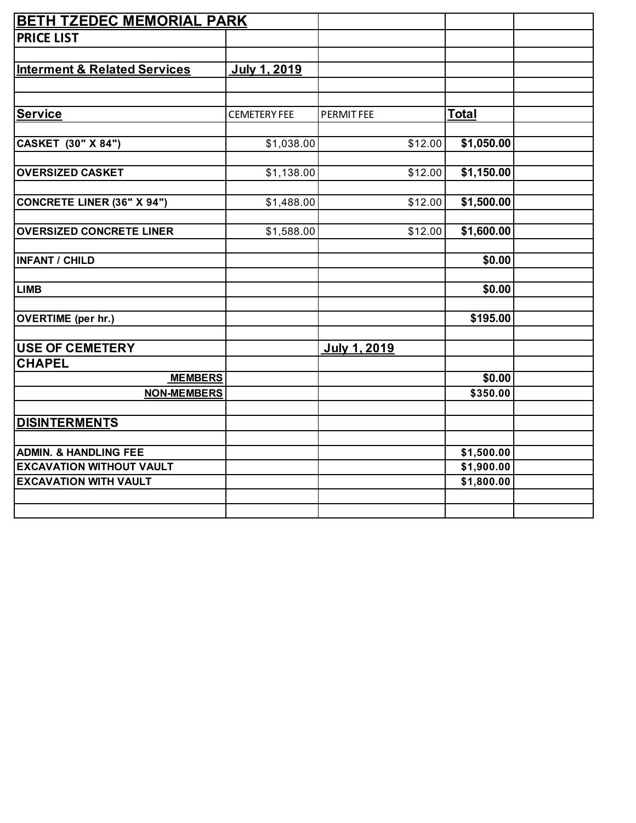| <b>BETH TZEDEC MEMORIAL PARK</b>                                |                     |                     |                          |  |
|-----------------------------------------------------------------|---------------------|---------------------|--------------------------|--|
| <b>PRICE LIST</b>                                               |                     |                     |                          |  |
|                                                                 |                     |                     |                          |  |
| <b>Interment &amp; Related Services</b>                         | July 1, 2019        |                     |                          |  |
|                                                                 |                     |                     |                          |  |
|                                                                 |                     |                     |                          |  |
| <b>Service</b>                                                  | <b>CEMETERY FEE</b> | PERMIT FEE          | <b>Total</b>             |  |
|                                                                 |                     |                     |                          |  |
| CASKET (30" X 84")                                              | \$1,038.00          | \$12.00             | \$1,050.00               |  |
|                                                                 |                     |                     |                          |  |
| <b>OVERSIZED CASKET</b>                                         | \$1,138.00          | \$12.00             | \$1,150.00               |  |
| <b>CONCRETE LINER (36" X 94")</b>                               | \$1,488.00          | \$12.00             | \$1,500.00               |  |
|                                                                 |                     |                     |                          |  |
| <b>OVERSIZED CONCRETE LINER</b>                                 | \$1,588.00          | \$12.00             | \$1,600.00               |  |
|                                                                 |                     |                     |                          |  |
| <b>INFANT / CHILD</b>                                           |                     |                     | \$0.00                   |  |
|                                                                 |                     |                     |                          |  |
| <b>LIMB</b>                                                     |                     |                     | \$0.00                   |  |
|                                                                 |                     |                     |                          |  |
| <b>OVERTIME</b> (per hr.)                                       |                     |                     | \$195.00                 |  |
| <b>USE OF CEMETERY</b>                                          |                     | <b>July 1, 2019</b> |                          |  |
| <b>CHAPEL</b>                                                   |                     |                     |                          |  |
| <b>MEMBERS</b>                                                  |                     |                     | \$0.00                   |  |
| <b>NON-MEMBERS</b>                                              |                     |                     | \$350.00                 |  |
|                                                                 |                     |                     |                          |  |
| <b>DISINTERMENTS</b>                                            |                     |                     |                          |  |
|                                                                 |                     |                     |                          |  |
| <b>ADMIN. &amp; HANDLING FEE</b>                                |                     |                     | \$1,500.00               |  |
| <b>EXCAVATION WITHOUT VAULT</b><br><b>EXCAVATION WITH VAULT</b> |                     |                     | \$1,900.00<br>\$1,800.00 |  |
|                                                                 |                     |                     |                          |  |
|                                                                 |                     |                     |                          |  |
|                                                                 |                     |                     |                          |  |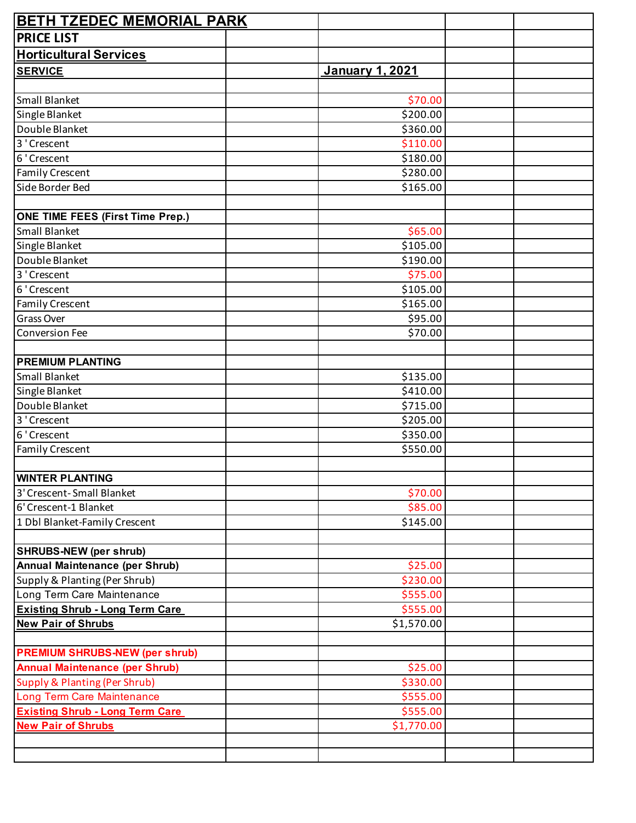| <b>BETH TZEDEC MEMORIAL PARK</b>         |                        |  |
|------------------------------------------|------------------------|--|
| <b>PRICE LIST</b>                        |                        |  |
| <b>Horticultural Services</b>            |                        |  |
| <b>SERVICE</b>                           | <b>January 1, 2021</b> |  |
|                                          |                        |  |
| Small Blanket                            | \$70.00                |  |
| Single Blanket                           | \$200.00               |  |
| Double Blanket                           | \$360.00               |  |
| 3 'Crescent                              | \$110.00               |  |
| 6 'Crescent                              | \$180.00               |  |
| <b>Family Crescent</b>                   | \$280.00               |  |
| Side Border Bed                          | \$165.00               |  |
|                                          |                        |  |
| <b>ONE TIME FEES (First Time Prep.)</b>  |                        |  |
| Small Blanket                            | \$65.00                |  |
| Single Blanket                           | \$105.00               |  |
| Double Blanket                           | \$190.00               |  |
| 3 'Crescent                              | \$75.00                |  |
| 6 'Crescent                              | \$105.00               |  |
| <b>Family Crescent</b>                   | \$165.00               |  |
| Grass Over                               | \$95.00                |  |
| <b>Conversion Fee</b>                    | \$70.00                |  |
|                                          |                        |  |
| <b>PREMIUM PLANTING</b>                  |                        |  |
| Small Blanket                            | \$135.00               |  |
| Single Blanket                           | \$410.00               |  |
| Double Blanket                           | \$715.00               |  |
| 3 'Crescent                              | \$205.00               |  |
| 6 'Crescent                              | $\overline{$}350.00$   |  |
| <b>Family Crescent</b>                   | \$550.00               |  |
|                                          |                        |  |
| <b>WINTER PLANTING</b>                   |                        |  |
| 3' Crescent-Small Blanket                | \$70.00                |  |
| 6' Crescent-1 Blanket                    | \$85.00                |  |
| 1 Dbl Blanket-Family Crescent            | \$145.00               |  |
|                                          |                        |  |
| <b>SHRUBS-NEW (per shrub)</b>            |                        |  |
| <b>Annual Maintenance (per Shrub)</b>    | \$25.00                |  |
| Supply & Planting (Per Shrub)            | \$230.00               |  |
| Long Term Care Maintenance               | \$555.00               |  |
| <b>Existing Shrub - Long Term Care</b>   | \$555.00               |  |
|                                          |                        |  |
| <b>New Pair of Shrubs</b>                | \$1,570.00             |  |
|                                          |                        |  |
| <b>PREMIUM SHRUBS-NEW (per shrub)</b>    |                        |  |
| <b>Annual Maintenance (per Shrub)</b>    | \$25.00                |  |
| <b>Supply &amp; Planting (Per Shrub)</b> | \$330.00               |  |
| Long Term Care Maintenance               | \$555.00               |  |
| <b>Existing Shrub - Long Term Care</b>   | \$555.00               |  |
| <b>New Pair of Shrubs</b>                | \$1,770.00             |  |
|                                          |                        |  |
|                                          |                        |  |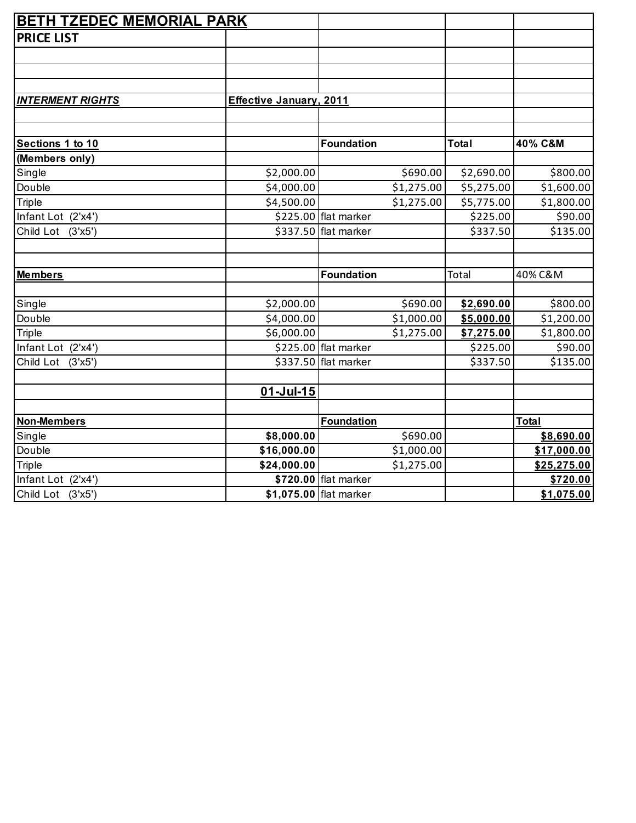| <b>BETH TZEDEC MEMORIAL PARK</b> |                                |                                    |                        |                       |
|----------------------------------|--------------------------------|------------------------------------|------------------------|-----------------------|
| <b>PRICE LIST</b>                |                                |                                    |                        |                       |
|                                  |                                |                                    |                        |                       |
|                                  |                                |                                    |                        |                       |
|                                  |                                |                                    |                        |                       |
| <b>INTERMENT RIGHTS</b>          | <b>Effective January, 2011</b> |                                    |                        |                       |
|                                  |                                |                                    |                        |                       |
|                                  |                                |                                    |                        |                       |
| Sections 1 to 10                 |                                | <b>Foundation</b>                  | <b>Total</b>           | 40% C&M               |
| (Members only)                   |                                |                                    |                        |                       |
| Single                           | \$2,000.00                     | \$690.00                           | \$2,690.00             | \$800.00              |
| Double                           | \$4,000.00                     | \$1,275.00                         | \$5,275.00             | \$1,600.00            |
| <b>Triple</b>                    | \$4,500.00                     | \$1,275.00                         | \$5,775.00             | \$1,800.00            |
| Infant Lot (2'x4')               |                                | \$225.00 flat marker               | \$225.00               | \$90.00               |
| Child Lot (3'x5')                |                                | \$337.50 flat marker               | \$337.50               | \$135.00              |
|                                  |                                |                                    |                        |                       |
|                                  |                                |                                    |                        |                       |
| <b>Members</b>                   |                                | <b>Foundation</b>                  | Total                  | 40% C&M               |
|                                  |                                |                                    |                        |                       |
| Single                           | \$2,000.00                     | \$690.00                           | \$2,690.00             | \$800.00              |
| Double                           | \$4,000.00                     | \$1,000.00                         | \$5,000.00             | \$1,200.00            |
| Triple<br>Infant Lot (2'x4')     | \$6,000.00                     | \$1,275.00<br>\$225.00 flat marker | \$7,275.00<br>\$225.00 | \$1,800.00<br>\$90.00 |
| Child Lot (3'x5')                |                                | \$337.50 flat marker               | \$337.50               | \$135.00              |
|                                  |                                |                                    |                        |                       |
|                                  | $01 -$ Jul-15                  |                                    |                        |                       |
|                                  |                                |                                    |                        |                       |
| <b>Non-Members</b>               |                                | <b>Foundation</b>                  |                        | <b>Total</b>          |
| Single                           | \$8,000.00                     | \$690.00                           |                        | \$8,690.00            |
| Double                           | \$16,000.00                    | \$1,000.00                         |                        | \$17,000.00           |
| Triple                           | \$24,000.00                    | \$1,275.00                         |                        | \$25,275.00           |
| Infant Lot (2'x4')               |                                | \$720.00 flat marker               |                        | \$720.00              |
| Child Lot (3'x5')                |                                | \$1,075.00 flat marker             |                        | \$1,075.00            |